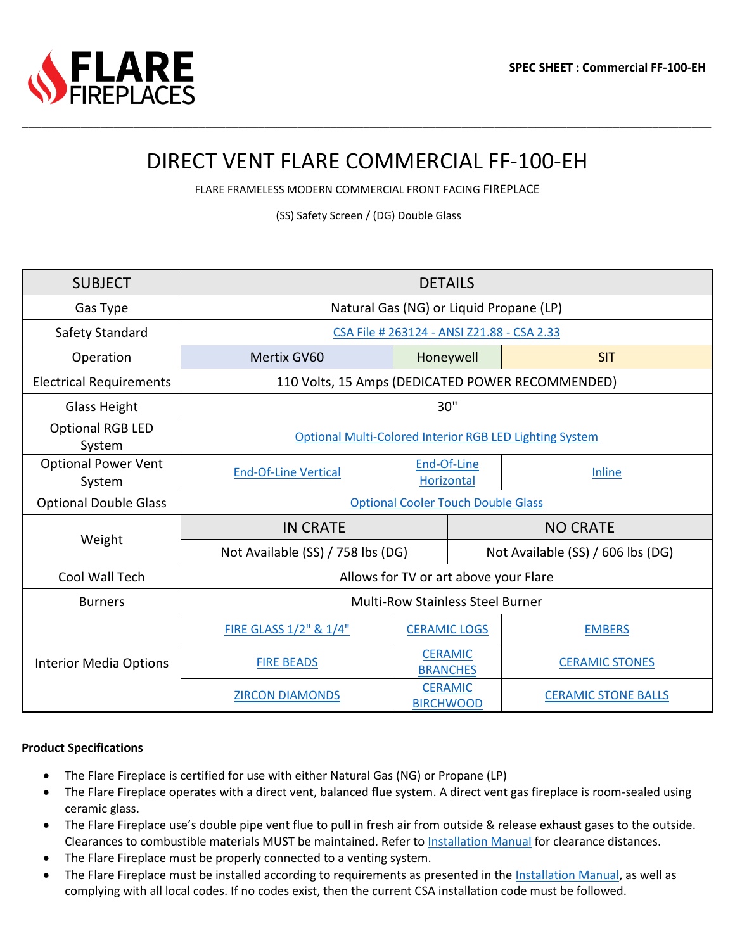

# DIRECT VENT FLARE COMMERCIAL FF-100-EH

\_\_\_\_\_\_\_\_\_\_\_\_\_\_\_\_\_\_\_\_\_\_\_\_\_\_\_\_\_\_\_\_\_\_\_\_\_\_\_\_\_\_\_\_\_\_\_\_\_\_\_\_\_\_\_\_\_\_\_\_\_\_\_\_\_\_\_\_\_\_\_\_\_\_\_\_\_\_\_\_\_\_\_\_\_\_\_\_\_\_\_\_\_\_\_\_\_\_\_\_\_\_\_\_\_

FLARE FRAMELESS MODERN COMMERCIAL FRONT FACING FIREPLACE

(SS) Safety Screen / (DG) Double Glass

| <b>SUBJECT</b>                       | <b>DETAILS</b>                                          |                                    |                                   |                            |  |  |  |  |
|--------------------------------------|---------------------------------------------------------|------------------------------------|-----------------------------------|----------------------------|--|--|--|--|
| Gas Type                             | Natural Gas (NG) or Liquid Propane (LP)                 |                                    |                                   |                            |  |  |  |  |
| Safety Standard                      | CSA File # 263124 - ANSI Z21.88 - CSA 2.33              |                                    |                                   |                            |  |  |  |  |
| Operation                            | Mertix GV60                                             | Honeywell                          |                                   | <b>SIT</b>                 |  |  |  |  |
| <b>Electrical Requirements</b>       | 110 Volts, 15 Amps (DEDICATED POWER RECOMMENDED)        |                                    |                                   |                            |  |  |  |  |
| Glass Height                         | 30"                                                     |                                    |                                   |                            |  |  |  |  |
| <b>Optional RGB LED</b><br>System    | Optional Multi-Colored Interior RGB LED Lighting System |                                    |                                   |                            |  |  |  |  |
| <b>Optional Power Vent</b><br>System | <b>End-Of-Line Vertical</b>                             | End-Of-Line<br>Horizontal          |                                   | Inline                     |  |  |  |  |
| <b>Optional Double Glass</b>         | <b>Optional Cooler Touch Double Glass</b>               |                                    |                                   |                            |  |  |  |  |
| Weight                               | <b>IN CRATE</b>                                         |                                    | <b>NO CRATE</b>                   |                            |  |  |  |  |
|                                      | Not Available (SS) / 758 lbs (DG)                       |                                    | Not Available (SS) / 606 lbs (DG) |                            |  |  |  |  |
| Cool Wall Tech                       | Allows for TV or art above your Flare                   |                                    |                                   |                            |  |  |  |  |
| <b>Burners</b>                       | <b>Multi-Row Stainless Steel Burner</b>                 |                                    |                                   |                            |  |  |  |  |
|                                      | FIRE GLASS 1/2" & 1/4"                                  | <b>CERAMIC LOGS</b>                |                                   | <b>EMBERS</b>              |  |  |  |  |
| <b>Interior Media Options</b>        | <b>FIRE BEADS</b>                                       | <b>CERAMIC</b><br><b>BRANCHES</b>  |                                   | <b>CERAMIC STONES</b>      |  |  |  |  |
|                                      | <b>ZIRCON DIAMONDS</b>                                  | <b>CERAMIC</b><br><b>BIRCHWOOD</b> |                                   | <b>CERAMIC STONE BALLS</b> |  |  |  |  |

#### **Product Specifications**

- The Flare Fireplace is certified for use with either Natural Gas (NG) or Propane (LP)
- The Flare Fireplace operates with a direct vent, balanced flue system. A direct vent gas fireplace is room-sealed using ceramic glass.
- The Flare Fireplace use's double pipe vent flue to pull in fresh air from outside & release exhaust gases to the outside. Clearances to combustible materials MUST be maintained. Refer to [Installation Manual](https://flarefireplaces.com/install_manual) for clearance distances.
- The Flare Fireplace must be properly connected to a venting system.
- The Flare Fireplace must be installed according to requirements as presented in the [Installation Manual,](https://flarefireplaces.com/install_manual) as well as complying with all local codes. If no codes exist, then the current CSA installation code must be followed.